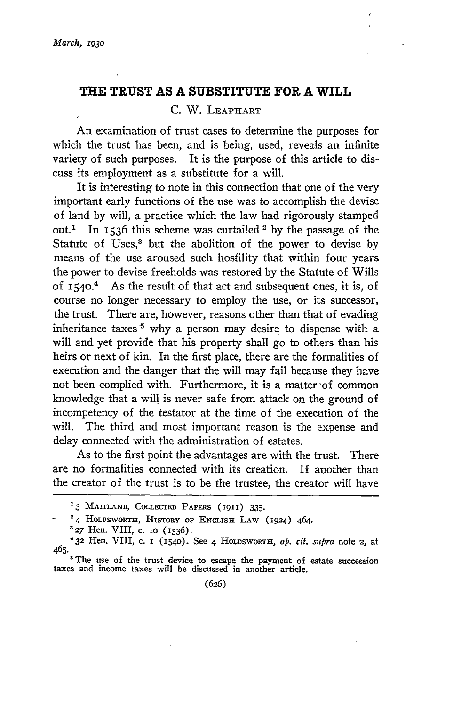## **THE TRUST AS A SUBSTITUTE FOR A WILL**

## **C.** W. LEAPHART

An examination of trust cases to determine the purposes for which the trust has been, and is being, used, reveals an infinite variety of such purposes. It is the purpose of this article to discuss its employment as a substitute for a will.

It is interesting to note in this connection that one of the very important early functions of the use was to accomplish the devise of land **by** will, a practice which the law had rigorously stamped out.' In 1536 this scheme was curtailed 2 **by** the passage of the Statute of Uses,3 but the abolition of the power to devise **by** means of the use aroused such hosfility that within four years the power to devise freeholds was restored **by** the Statute of Wills of  $1540<sup>4</sup>$  As the result of that act and subsequent ones, it is, of course no longer necessary to employ the use, or its successor, the trust. There are, however, reasons other than that of evading inheritance taxes  $5$  why a person may desire to dispense with a will and yet provide that his property shall go to others than his heirs or next of kin. In the first place, there are the formalities of execution and the danger that the will may fail because they have not been complied with. Furthermore, it is a matter'of common knowledge that a will is never safe from attack on the ground of incompetency of the testator at the time of the execution of the will. The third and most important reason is the expense and delay connected with the administration of estates.

As to the first point the advantages are with the trust. There are no formalities connected with its creation. If another than the creator of the trust is to be the trustee, the creator will have

**<sup>&#</sup>x27;3 MAITLAND, COLLECTED** PAPERS (1911) **335.**

**<sup>2 4</sup>** HOLDSWORTH, **HISTORY** OF **ENGLISH LAW** (1924) 464.

**<sup>&#</sup>x27;27** Hen. VIII, c. **10 (1536).**

<sup>&</sup>lt;sup>4</sup> 32 Hen. VIII, c. 1 (1540). See 4 HOLDSWORTH, *op. cit. supra* note 2, at 465.

<sup>&</sup>lt;sup>5</sup> The use of the trust device to escape the payment of estate succession taxes and income taxes will be discussed in another article.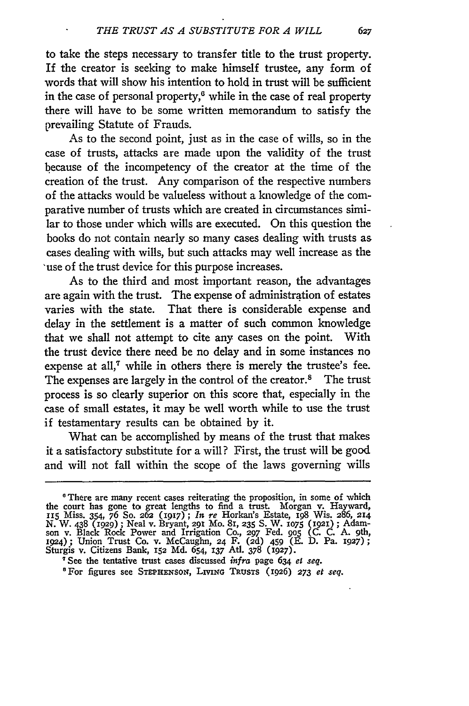to take the steps necessary to transfer title to the trust property. If the creator is seeking to make himself trustee, any form of words that will show his intention to hold in trust will be sufficient in the case of personal property, $6$  while in the case of real property there will have to be some written memorandum to satisfy the prevailing Statute of Frauds.

As to the second point, just as in the case of wills, so in the case of trusts, attacks are made upon the validity of the trust because of the incompetency of the creator at the time of the creation of the trust. Any comparison of the respective numbers of the attacks would be valueless without a knowledge of the comparative number of trusts which are created in circumstances similar to those under which wills are executed. On this question the books do not contain nearly so many cases dealing with trusts as cases dealing with wills, but such attacks may well increase as the 'use of the trust device for this purpose increases.

As to the third and most important reason, the advantages are again with the trust. The expense of administration of estates varies with the state. That there is considerable expense and delay in the settlement is a matter of such common knowledge that we shall not attempt to cite any cases on the point. With the trust device there need be no delay and in some instances no expense at all,<sup>7</sup> while in others there is merely the trustee's fee. The expenses are largely in the control of the creator.<sup>8</sup> The trust process is so clearly superior on this score that, especially in the case of small estates, it may be well worth while to use the trust if testamentary results can be obtained by it.

What can be accomplished by means of the trust that makes it a satisfactory substitute for a will? First, the trust will be good and will not fall within the scope of the laws governing wills

627

<sup>&</sup>lt;sup>6</sup> There are many recent cases reiterating the proposition, in some of which<br>the court has gone to great lengths to find a trust. Morgan v. Hayward,<br>II5 Miss. 354, 76 So. 262 (1917); In re Horkan's Estate, 198 Wis. 286, N. W. 438 (1929); Neal v. Bryant, 291 Mo. 81, 235 S. W. 1075 (1921); Adamson v. Black Rock Power and Irrigation Co., 297 Fed. 905 (C. C. A. 9th 1924); Union Trust Co. v. McCaughn, 24 F. (2d) 459 (E. D. Pa. 1927); Sturgis v. Citizens Bank, **152 Md.** 654, **137** Atl. **378** (927).

<sup>&</sup>quot;See the tentative trust cases discussed *infra* page 634 *et* seq. 'For figures see STEPHENsoN, **LmNG** TRuSTS (1926) **273** *et seq.*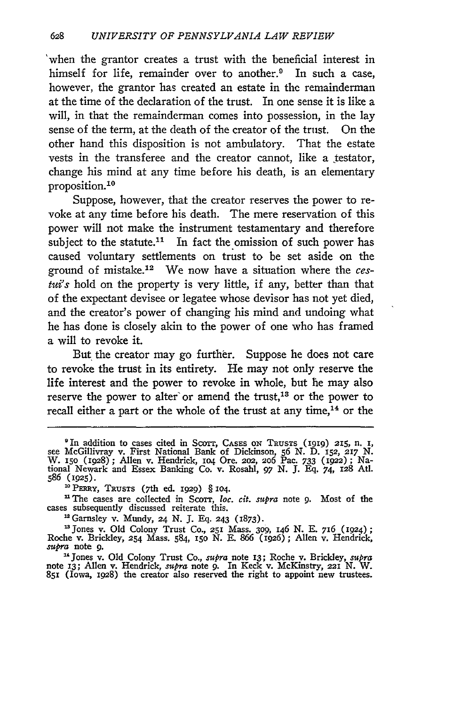'when the grantor creates a trust with the beneficial interest in himself for life, remainder over to another.<sup>9</sup> In such a case, however, the grantor has created an estate in the remainderman at the time of the declaration of the trust. In one sense it is like a will, in that the remainderman comes into possession, in the lay sense of the term, at the death of the creator of the trust. On the other hand this disposition is not ambulatory. That the estate vests in the transferee and the creator cannot, like a testator, change his mind at any time before his death, is an elementary proposition. <sup>10</sup>

Suppose, however, that the creator reserves the power to revoke at any time before his death. The mere reservation of this power will not make the instrument testamentary and therefore subject to the statute.<sup>11</sup> In fact the omission of such power has caused voluntary settlements on trust to be set aside on the ground of mistake.12 We now have a situation where the *cestui's* hold on the property is very little, if any, better than that of the expectant devisee or legatee whose devisor has not yet died, and the creator's power of changing his mind and undoing what he has done is closely akin to the power of one who has framed a will to revoke it.

But the creator may go further. Suppose he does not care to revoke the trust in its entirety. He may not only reserve the life interest and the power to revoke in whole, but he may also reserve the power to alter or amend the trust,<sup>13</sup> or the power to recall either a part or the whole of the trust at any time,<sup>14</sup> or the

Garnsley v. Mundy, **24** *N.* J. **Eq.** 243 (1873).

'3Jones v. Old Colony Trust Co., **251** Mass. **309,** 146 *N.* E. 716 (1924); Roche v. Bricldey, **254** Mass. 584, **15o N.** E. 866 **(1926) ;** Allen v. Hendrick, *supra* note **9.**

' 4 Jones v. Old Colony Trust Co., *supra* note **13;** Roche **v.** Brickley, *supra* note **13;** Allen **v.** Hendrick, supra note 9. In Keck v. McKinstry, **221 N.** W. **851** (Iowa, 1928) the creator also reserved the right to appoint new trustees.

<sup>&</sup>lt;sup>9</sup> In addition to cases cited in Scorr, Cases on Trustrs (1919) 215, n. 1, see McGillivray v. First National Bank of Dickinson, 56 N. D. 152, 217 N.<br>W. 150 (1928); Allen v. Hendrick, 104 Ore. 202, 206 Pac. 733 (1922); Nat 586 **(1925).**

**<sup>&#</sup>x27;o** PERRY, TRusTs **(7th** ed. 1929) § io4.

<sup>&</sup>lt;sup>11</sup> The cases are collected in Scorr, *loc. cit. supra* note 9. Most of the cases subsequently discussed reiterate this.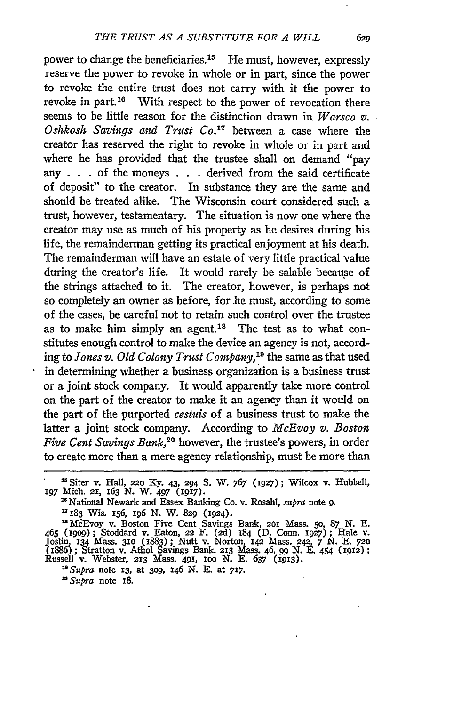power to change the beneficiaries.<sup>15</sup> He must, however, expressly reserve the power to revoke in whole or in part, since the power to revoke the entire trust does not carry with it the power to revoke in part.<sup>16</sup> With respect to the power of revocation there seems to be little reason for the distinction drawn in *Warsco v. Oshkosh Savings and Trust Co.7* between a case where the creator has reserved the right to revoke in whole or in part and where he has provided that the trustee shall on demand "pay any . . . of the moneys . . . derived from the said certificate of deposit" to the creator. In substance they are the same and should be treated alike. The Wisconsin court considered such a trust, however, testamentary. The situation is now one where the creator may use as much of his property as he desires during his life, the remainderman getting its practical enjoyment at his death. The remainderman will have an estate of very little practical value during the creator's life. It would rarely be salable because of the strings attached to it. The creator, however, is perhaps not so completely an owner as before, for he must, according to some of the cases, be careful not to retain such control over the trustee as to make him simply an agent.<sup>18</sup> The test as to what constitutes enough control to make the device an agency is not, according to *Jones v. Old Colony Trust Company,'"* the same as that used in determining whether a business organization is a business trust or a joint stock company. It would apparently take more control on the part of the creator to make it an agency than it would on the part of the purported *cestuis* of a business trust to make the latter a joint stock company. According to *McEvoy v. Boston Five Cent Savings Bank,20* however, the trustee's powers, in order to create more than a mere agency relationship, must be more than

'McEvoy v. Boston Five Cent Savings Bank, **201** Mass. **50,** 87 N. E. *<sup>465</sup>*(igog); Stoddard v. Eaton, **22** F. **(2d)** 184 (D. Conn. **1927);** Hale v. Joslin, **134** Mass. **310** (1883); Nutt v. Norton, **142** Mass. 242, 7 N. E. **<sup>720</sup>** (886) ; Stratton v. Athol Savings Bank, **213** Mass. 46, *99* N. E. 454 (1912); Russell v. Webster, **213** Mass. 491, ioo N. E. 637 (1913).

*" Supra* note **13,** at **309,** *146* N. **E.** at **717.**

*" Supra* note **i8.**

**I** Siter v. Hall, 220 Ky. 43, 294 S. V. 767 **(1927);** Wilcox v. Hubbell, **197** Mich. 21, 163 N. W. *497* (1917).

<sup>&</sup>lt;sup>14</sup> National Newark and Essex Banking Co. v. Rosahl, *supra* note 9.<br><sup>17</sup> I83 Wis. 156, 196 N. W. 829 (1924).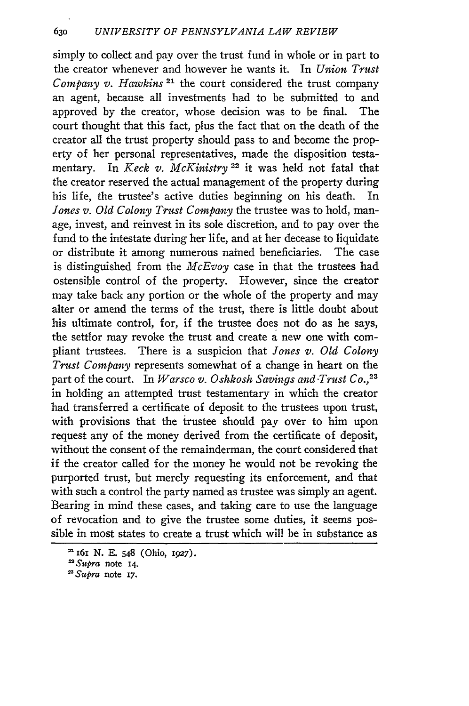simply to collect and pay over the trust fund in whole or in part to the creator whenever and however he wants it. In *Union Trust Company v. Hawkins 21* the court considered the trust company an agent, because all investments had to be submitted to and approved by the creator, whose decision was to be final. The court thought that this fact, plus the fact that on the death of the creator all the trust property should pass to and become the property of her personal representatives, made the disposition testamentary. In *Keck v. McKinistry* **22** it was held rot fatal that the creator reserved the actual management of the property during his life, the trustee's active duties beginning on his death. In *Jones v. Old Colony Trust Company* the trustee was to hold, manage, invest, and reinvest in its sole discretion, and to pay over the fund to the intestate during her life, and at her decease to liquidate or distribute it among numerous nained beneficiaries. The case is distinguished from the *McEvoy* case in that the trustees had ostensible control of the property. However, since the creator may take back any portion or the whole of the property and may alter or amend the terms of the trust, there is little doubt about his ultimate control, for, if the trustee does not do as he says, the settlor may revoke the trust and create a new one with compliant trustees. There is a suspicion that *Jones v. Old Colony Trust Company* represents somewhat of a change in heart on the part of the court. In *Warsco v. Oshkosh Savings and Trust Co.*,<sup>23</sup> in holding an attempted trust testamentary in which the creator had transferred a certificate of deposit to the trustees upon trust, with provisions that the trustee should pay over to him upon request any of the money derived from the certificate of deposit, without the consent of the remainderman, the court considered that if the creator called for the money he would not be revoking the purported trust, but merely requesting its enforcement, and that with such a control the party named as trustee was simply an agent. Bearing in mind these cases, and taking care to use the language of revocation and to give the trustee some duties, it seems possible in most states to create a trust which will be in substance as

**<sup>16</sup>I N. E.** 548 (Ohio, **1927).**

*<sup>&#</sup>x27;Supra* note **14.**

*<sup>&#</sup>x27;Supra* note **17.**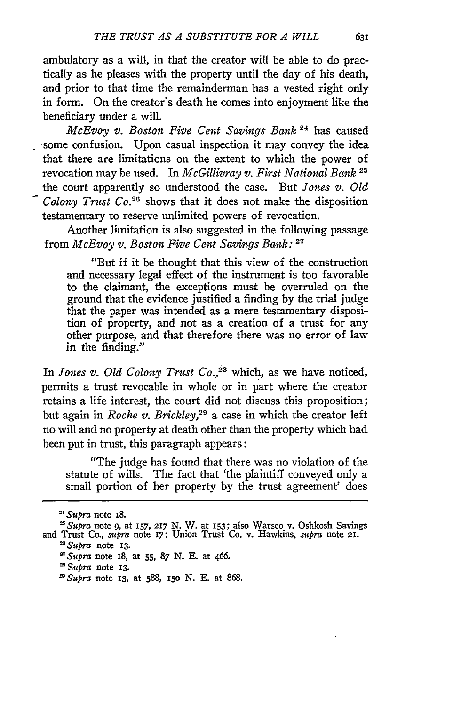ambulatory as a will, in that the creator will be able to do practically as he pleases with the property until the day of his death, and prior to that time the remainderman has a vested right only in form. On the creator's death he comes into enjoyment like the beneficiary under a will.

McEvoy *v. Boston Five Cent Savings Bank* 24 has caused some confusion. Upon casual inspection it may convey the idea that there are limitations on the extent to which the power of revocation may be used. In *McGillivray v. First National Bank 25* the court apparently so understood the case. But *Jones v. Old Colony Trust Co.26* shows that it does not make the disposition testamentary to reserve unlimited powers of revocation.

Another limitation is also suggested in the following passage from *McEvoy v. Boston Five Cent Savings Bank:* **<sup>2</sup> 7**

"But if it be thought that this view of the construction and necessary legal effect of the instrument is too favorable to the claimant, the exceptions must be overruled on the ground that the evidence justified a finding by the trial judge that the paper was intended as a mere testamentary disposition of property, and not as a creation of a trust for any other purpose, and that therefore there was no error of law in the finding."

In *Jones v. Old Colony Trust Co.*,<sup>28</sup> which, as we have noticed, permits a trust revocable in whole or in part where the creator retains a life interest, the court did not discuss this proposition; but again in *Roche v. Brickley,29* a case in which the creator left no will and no property at death other than the property which had been put in trust, this paragraph appears:

"The judge has found that there was no violation of the statute of wills. The fact that 'the plaintiff conveyed only a small portion of her property by the trust agreement' does

*2GSupra* note **13.**

<sup>&</sup>lt;sup>24</sup> Supra note 18.

**<sup>&</sup>quot;** *Supra* note 9, at **157, 217** N. W. at 153; also Warsco v. Oshkosh Savings and Trust Co., *supra* note **17;** Union Trust Co. v. Hawkins, *mtpra* note **2L.**

*SSupra* note **i8,** at **55,** *87* **N. E.** at 466.

*Supra* note **13.**

<sup>&</sup>quot; *Supra* note **13,** at **588, i5o N. E.** at **868.**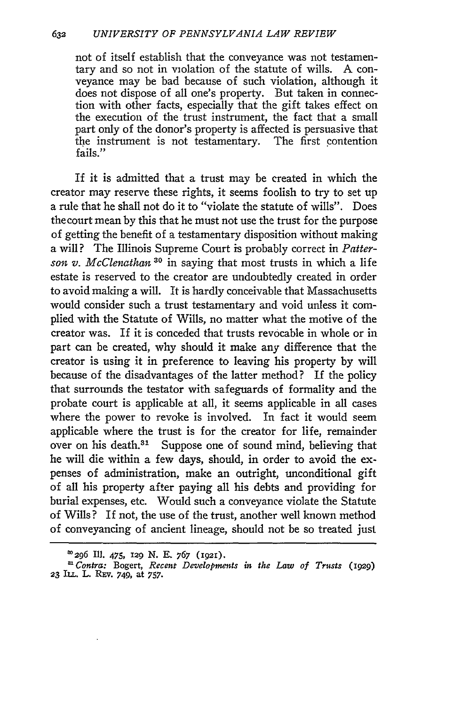not of itself establish that the conveyance was not testamentary and so not in violation of the statute of wills. A conveyance may be bad because of such violation, although it does not dispose of all one's property. But taken in connection with other facts, especially that the gift takes effect on the execution of the trust instrument, the fact that a small part only of the donor's property is affected is persuasive that the instrument is not testamentary. The first contention fails."

If it is admitted that a trust may be created in which the creator may reserve these rights, it seems foolish to try to set up a rule that he shall not do it to "violate the statute of wills". Does the court mean **by** this that he must not use the trust for the purpose of getting the benefit of a testamentary disposition without making a will? The Illinois Supreme Court is probably correct in *Patterson v. McClenathan* **30** in saying that most trusts in which a life estate is reserved to the creator are undoubtedly created in order to avoid making a will. It is hardly conceivable that Massachusetts would consider such a trust testamentary and void unless it complied with the Statute of Wills, no matter what the motive of the creator was. If it is conceded that trusts revocable in whole or in part can be created, why should it make any difference that the creator is using it in preference to leaving his property **by** will because of the disadvantages of the latter method? If the policy that surrounds the testator with safeguards of formality and the probate court is applicable at all, it seems applicable in all cases where the power to revoke is involved. In fact it would seem applicable where the trust is for the creator for life, remainder over on his death.<sup>31</sup> Suppose one of sound mind, believing that he will die within a few days, should, in order to avoid the expenses of administration, make an outright, unconditional gift of all his property after paying all his debts and providing for burial expenses, etc. Would such a conveyance violate the Statute of Wills? If not, the use of the trust, another well known method of conveyancing of ancient lineage, should not be so treated just

**W 296 Ill. 475, 129 N. E. 767 (192i).**

**<sup>8</sup>** *Contra:* Bogert, *Recent Developments in the Law of Trusts (I929)* **23 IL.** L. **Rnv.** 749, at *757.*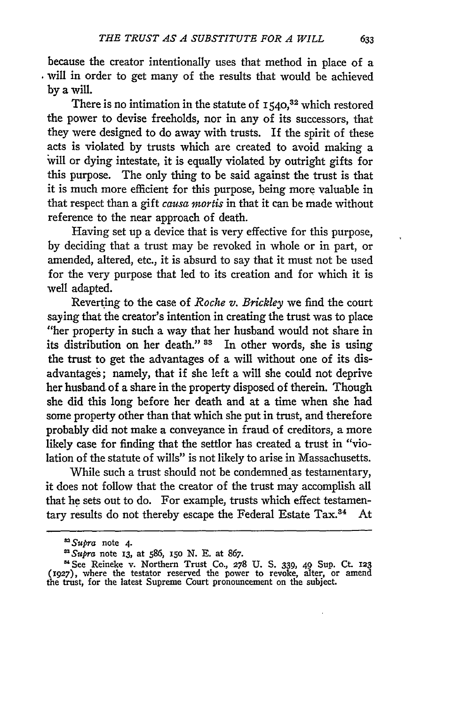because the creator intentionally uses that method in place of a will in order to get many of the results that would be achieved by a will.

There is no intimation in the statute of **1540,32** which restored the power to devise freeholds, nor in any of its successors, that they were designed to do away with trusts. If the spirit of these acts is violated by trusts which are created to avoid making a will or dying intestate, it is equally violated by outright gifts for this purpose. The only thing to be said against the trust is that it is much more efficient for this purpose, being more valuable in that respect than a gift *causa nortis* in that it can be made without reference to the near approach of death.

Having set up a device that is very effective for this purpose, by deciding that a trust may be revoked in whole or in part, or amended, altered, etc., it is absurd to say that it must not be used for the very purpose that led to its creation and for which it is well adapted.

Reverting to the case of *Roche v. Brickley* we find the court saying that the creator's intention in creating the trust was to place "her property in such a way that her husband would not share in its distribution on her death." **33** In other words, she is using the trust to get the advantages of a will without one of its disadvantages; namely, that if she left a will she could not deprive her husband, of a share in the property disposed of therein. Though she did this long before her death and at a time when she had some property other than that which she put in trust, and therefore probably did not make a conveyance in fraud of creditors, a more likely case for finding that the settlor has created a trust in "violation of the statute of wills" is not likely to arise in Massachusetts.

While such a trust should not be condemned as testamentary, it does not follow that the creator of the trust may accomplish all that he sets out to do. For example, trusts which effect testamentary results do not thereby escape the Federal Estate Tax.<sup>34</sup> At

*<sup>&</sup>quot;Supra* note 4. *Supra* note **13,** at 586, **i5o N. E.** at 867.

See Reineke v. Northern Trust Co., **278** U. **S. 339,** 49 **Sup.** Ct. **123 (1927),** where the testator reserved the power to revoke, alter, or amend the trust, for the latest Supreme Court pronouncement on the subject.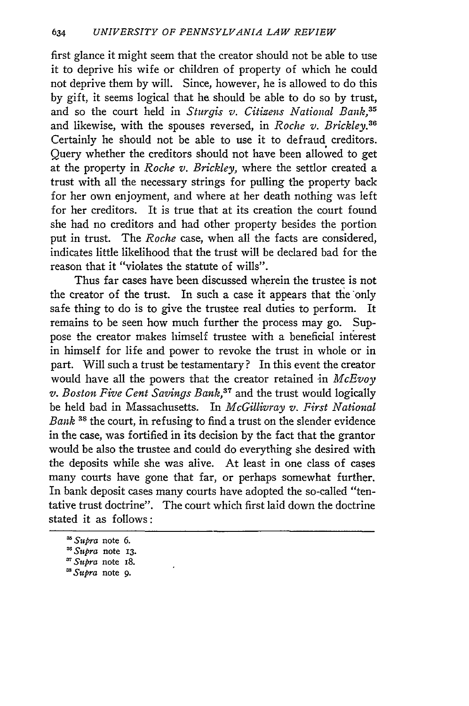first glance it might seem that the creator should not be able to use it to deprive his wife or children of property of which he could not deprive them by will. Since, however, he is allowed to do this by gift, it seems logical that he should be able to do so by trust, and so the court held in *Sturgis v. Citizens National Bank,35* and likewise, with the spouses reversed, in *Roche v. Brickley*.<sup>36</sup> Certainly he should not be able to use it to defraud creditors. Query whether the creditors should not have been allowed to get at the property in *Roche v. Brickley,* where the settlor created a trust with all the necessary strings for pulling the property back for her own enjoyment, and where at her death nothing was left for her creditors. It is true that at its creation the court found she had no creditors and had other property besides the portion put in trust. The *Roche* case, when all the facts are considered, indicates little likelihood that the trust will be declared bad for the reason that it "violates the statute of wills".

Thus far cases have been discussed wherein the trustee is not the creator of the trust. In such a case it appears that the only safe thing to do is to give the trustee real duties to perform. It remains to be seen how much further the process may go. Suppose the creator makes himself trustee with a beneficial interest in himself for life and power to revoke the trust in whole or in part. Will such a trust be testamentary? In this event the creator would have all the powers that the creator retained in *McEvoy v. Boston Five Cent Savings Bank,37* and the trust would logically be held bad in Massachusetts. In *McGillivray v. First National Bank* **3s** the court, in refusing to find a trust on the slender evidence in the case, was fortified in its decision by the fact that the grantor would be also the trustee and could do everything she desired with the deposits while she was alive. At least in one class of cases many courts have gone that far, or perhaps somewhat further. In bank deposit cases many courts have adopted the so-called "tentative trust doctrine". The court which first laid down the doctrine stated it as follows:

*<sup>&#</sup>x27;Supra* note **6.**

*<sup>&#</sup>x27;Supra* note **13.**

*<sup>&#</sup>x27;Supra* note **I8.**

*<sup>&</sup>quot;Supra* note 9.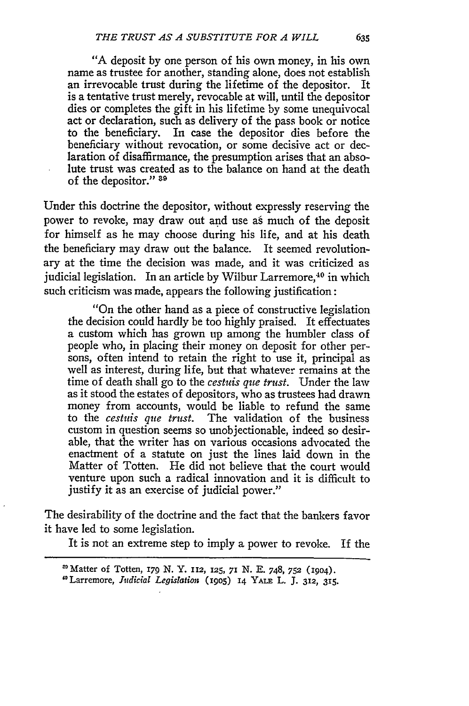"A deposit by one person of his own money, in his own name as trustee for another, standing alone, does not establish an irrevocable trust during the lifetime of the depositor. It is a tentative trust merely, revocable at will, until the depositor dies or completes the gift in his lifetime by some unequivocal act or declaration, such as delivery of the pass book or notice to the beneficiary. In case the depositor dies before the beneficiary without revocation, or some decisive act or declaration of disaffirmance, the presumption arises that an absolute trust was created as to the balance on hand at the death of the depositor." **39**

Under this doctrine the depositor, without expressly reserving the power to revoke, may draw out and use as much of the deposit for himself as he may choose during his life, and at his death the beneficiary may draw out the balance. It seemed revolutionary at the time the decision was made, and it was criticized as judicial legislation. In an article by Wilbur Larremore,<sup>40</sup> in which such criticism was made, appears the following justification:

"On the other hand as a piece of constructive legislation the decision could hardly be too highly praised. It effectuates a custom which has grown up among the humbler class of people who, in placing their money on deposit for other persons, often intend to retain the right to use it, principal as well as interest, during life, but that whatever remains at the time of death shall go to the *cestuis que trust.* Under the law as it stood the estates of depositors, who as trustees had drawn money from accounts, would be liable to refund the same to the *cestuis que trust.* The validation of the business custom in question seems so unobjectionable, indeed so desirable, that the writer has on various occasions advocated the enactment of a statute on just the lines laid down in the Matter of Totten. He did not believe that the court would venture upon such a radical innovation and it is difficult to justify it as an exercise of judicial power."

The desirability of the doctrine and the fact that the bankers favor it have led to some legislation.

It is not an extreme step to imply a power to revoke. If the

635

<sup>&#</sup>x27;Matter of Totten, **179 N.** Y. **112,** 125, **71 N. E.** 748, **752** (19o4).

<sup>&#</sup>x27;Larremore, *Judicial Legislation* (i9o5) 14 YALE L. **J.** 312, **315.**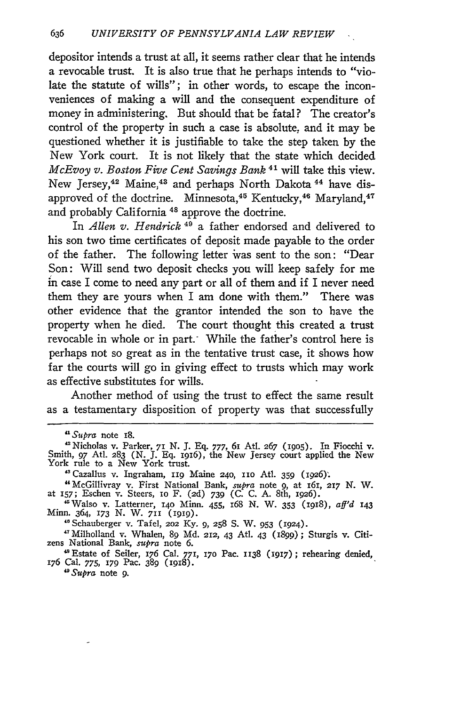depositor intends a trust at all, it seems rather clear that he intends a revocable trust. It is also true that he perhaps intends to "violate the statute of wills"; in other words, to escape the inconveniences of making a will and the consequent expenditure of money in administering. But should that be fatal? The creator's control of the property in such a case is absolute, and it may be questioned whether it is justifiable to take the step taken by the New York court. It is not likely that the state which decided *McEvoy v. Boston Five Cent Savings Bank* 41 will take this view. New Jersey,<sup>42</sup> Maine,<sup>43</sup> and perhaps North Dakota<sup>44</sup> have disapproved of the doctrine. Minnesota,<sup>45</sup> Kentucky,<sup>46</sup> Maryland,<sup>47</sup> and probably California<sup>48</sup> approve the doctrine.

In *Allen v. Hendrick*<sup>49</sup> a father endorsed and delivered to his son two time certificates of deposit made payable to the order of the father. The following letter was sent to the son: "Dear Son: Will send two deposit checks you will keep safely for me in case I come to need any part or all of them and if I never need them they are yours when I am done with them." There was other evidence that the grantor intended the son to have the property when he died. The court thought this created a trust revocable in whole or in part. While the father's control here is perhaps not so great as in the tentative trust case, it shows how far the courts will go in giving effect to trusts which may work as effective substitutes for wills.

Another method of using the trust to effect the same result as a testamentary disposition of property was that successfully

- "McGillivray v. First National Bank, *supra* note **9,** at 161, 217 N. W. at **157;** Eschen v. Steers, Io F. **(2d)** *739* **(C.** C. A. 8th, 1926).
- 'Walso v. Latterner, **140** Minn. 455, 168 N. W. 353 (i918), *aff'd* <sup>143</sup> Minn. 364, **173** N. W. 711 (1919).

"Schauberger v. Tafel, **202** Ky. 9, 258 **S.** W. 953 (924).

' <sup>7</sup> Milholland v. Whalen, 89 Md. 212, 43 Atl. 43 (1899); Sturgis v. Citi- zens National Bank, *supra* note 6. **.** Estate of Seiler, 176 Cal. 771, **170** Pac. 1138 (1917); rehearing denied,

*"Supra* note 9.

*<sup>&</sup>quot;Supra* note 18.

<sup>&#</sup>x27;Nicholas v. Parker, 71 N. J. Eq. 777, 61 AtI. 267 **09o5).** In Fiocchi v. Smith, **97** At]. **283** (N. J. Eq. I916), the New Jersey court applied the New York rule to a New York trust.

<sup>&</sup>lt;sup>43</sup> Cazallus v. Ingraham, 119 Maine 240, 110 Atl. 359 (1926).

<sup>&</sup>lt;sup>48</sup> Estate of Seiler, 176 Cal. 771, 170 Pac. 1138 (1917); rehearing denied, 176 Cal. 775, 179 Pac. 389 (1918).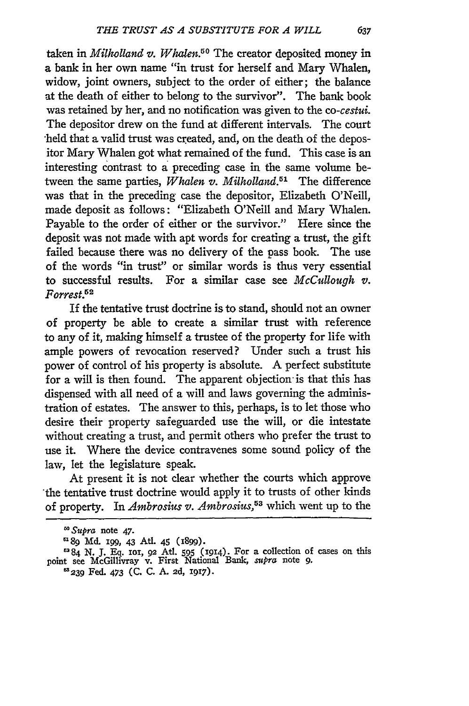taken in *Milholland v. Whalen.50* The creator deposited money in a bank in her own name "in trust for herself and Mary Whalen, widow, joint owners, subject to the order of either; the balance at the death of either to belong to the survivor". The bank book was retained **by** her, and no notification was given to the *co-cestui.* The depositor drew on the fund at different intervals. The court -held that a valid trust was created, and, on the death of the depositor Mary Whalen got what remained of the fund. This case is an interesting contrast to a preceding case in the same volume between the same parties, *Whalen v. Milholland*.<sup>51</sup> The difference was that in the preceding case the depositor, Elizabeth O'Neill, made deposit as follows: "Elizabeth O'Neill and Mary Whalen. Payable to the order of either or the survivor." Here since the deposit was not made with apt words for creating a trust, the gift failed because there was no delivery of the pass book. The use of the words "in trust" or similar words is thus very essential to successful results. For a similar case see *McCullough v. Forrest.5 "*

If the tentative trust doctrine is to stand, should not an owner of property be able to create a similar trust with reference to any of it, making himself a trustee of the property for life with ample powers of revocation reserved? Under such a trust his power of control of his property is absolute. A perfect substitute for a will is then found. The apparent objection is that this has dispensed with all need of a will and laws governing the administration of estates. The answer to this, perhaps, is to let those who desire their property safeguarded use the will, or die intestate without creating a trust, and permit others who prefer the trust to use it. Where the device contravenes some sound policy of the law, let the legislature speak.

At present it is not clear whether the courts which approve 'the tentative trust doctrine would apply it to trusts of other kinds of property. In *Ambrosius v. Ambrosius,53* which went up to the

**3239** Fed. 473 (C. C. A. **2d,** 1917).

*I' Supra* note 47.

**<sup>1189</sup> Md.** i99, **43** Ati. 45 (1899).

<sup>284</sup> N. J. **Eq.** ioi, 92 Ati. 595 **(1914).** For a collection of cases on this point see McGillivray v. First National Bank, *supra* note **9.**